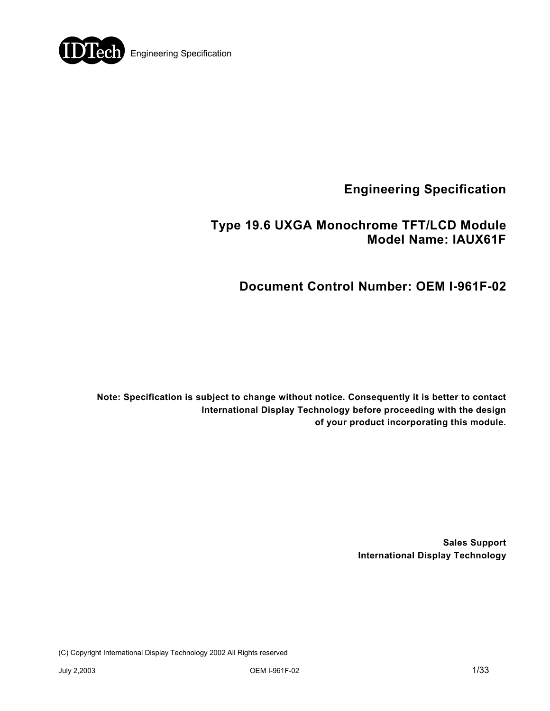

**Engineering Specification** 

# **Type 19.6 UXGA Monochrome TFT/LCD Module Model Name: IAUX61F**

# **Document Control Number: OEM I-961F-02**

**Note: Specification is subject to change without notice. Consequently it is better to contact International Display Technology before proceeding with the design of your product incorporating this module.** 

> **Sales Support International Display Technology**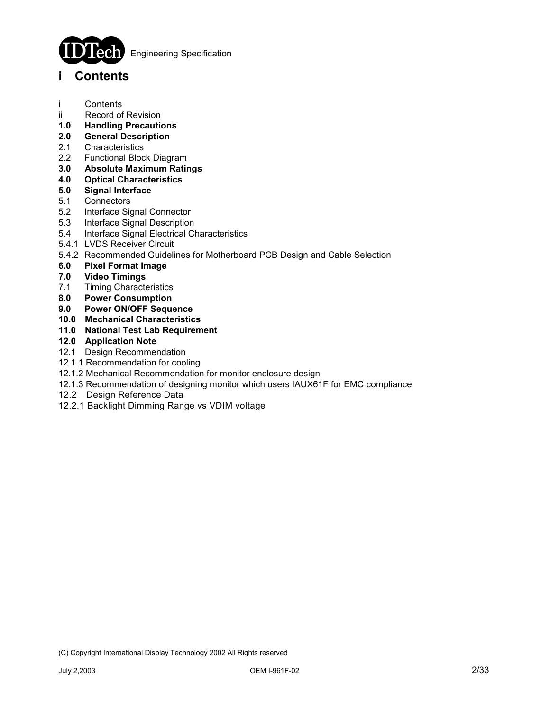

Engineering Specification

## **i Contents**

- i Contents
- ii Record of Revision
- **1.0 Handling Precautions**
- **2.0 General Description**
- 2.1 Characteristics
- 2.2 Functional Block Diagram
- **3.0 Absolute Maximum Ratings**
- **4.0 Optical Characteristics**
- **5.0 Signal Interface**
- 5.1 Connectors
- 5.2 Interface Signal Connector
- 5.3 Interface Signal Description
- 5.4 Interface Signal Electrical Characteristics
- 5.4.1 LVDS Receiver Circuit
- 5.4.2 Recommended Guidelines for Motherboard PCB Design and Cable Selection
- **6.0 Pixel Format Image**
- **7.0 Video Timings**
- 7.1 Timing Characteristics
- **8.0 Power Consumption**
- **9.0 Power ON/OFF Sequence**
- **10.0 Mechanical Characteristics**
- **11.0 National Test Lab Requirement**

## **12.0 Application Note**

- 12.1 Design Recommendation
- 12.1.1 Recommendation for cooling
- 12.1.2 Mechanical Recommendation for monitor enclosure design
- 12.1.3 Recommendation of designing monitor which users IAUX61F for EMC compliance
- 12.2 Design Reference Data
- 12.2.1 Backlight Dimming Range vs VDIM voltage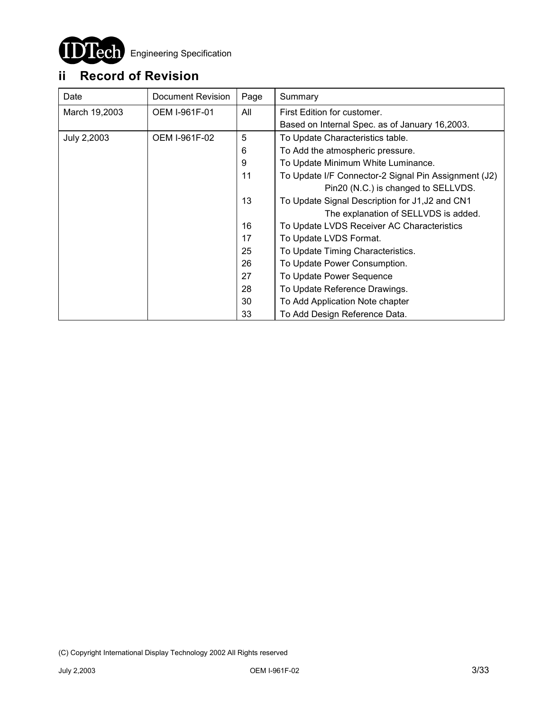

# **ii Record of Revision**

| Date          | Document Revision    | Page | Summary                                              |  |  |
|---------------|----------------------|------|------------------------------------------------------|--|--|
| March 19,2003 | <b>OEM I-961F-01</b> | All  | First Edition for customer.                          |  |  |
|               |                      |      | Based on Internal Spec. as of January 16,2003.       |  |  |
| July 2,2003   | OEM I-961F-02        | 5    | To Update Characteristics table.                     |  |  |
|               |                      | 6    | To Add the atmospheric pressure.                     |  |  |
|               |                      | 9    | To Update Minimum White Luminance.                   |  |  |
|               |                      | 11   | To Update I/F Connector-2 Signal Pin Assignment (J2) |  |  |
|               |                      |      | Pin20 (N.C.) is changed to SELLVDS.                  |  |  |
|               |                      | 13   | To Update Signal Description for J1, J2 and CN1      |  |  |
|               |                      |      | The explanation of SELLVDS is added.                 |  |  |
|               |                      | 16   | To Update LVDS Receiver AC Characteristics           |  |  |
|               |                      | 17   | To Update LVDS Format.                               |  |  |
|               |                      | 25   | To Update Timing Characteristics.                    |  |  |
|               |                      | 26   | To Update Power Consumption.                         |  |  |
|               |                      | 27   | To Update Power Sequence                             |  |  |
|               |                      | 28   | To Update Reference Drawings.                        |  |  |
|               |                      | 30   | To Add Application Note chapter                      |  |  |
|               |                      | 33   | To Add Design Reference Data.                        |  |  |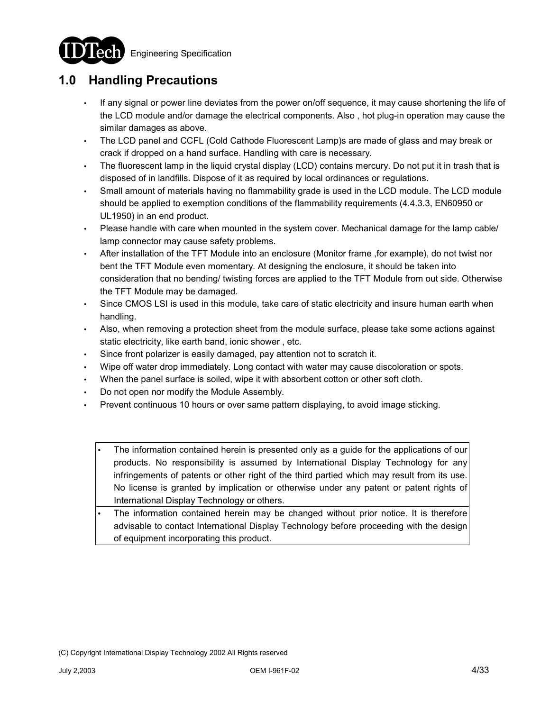**Engineering Specification** 



# **1.0 Handling Precautions**

- If any signal or power line deviates from the power on/off sequence, it may cause shortening the life of the LCD module and/or damage the electrical components. Also , hot plug-in operation may cause the similar damages as above.
- The LCD panel and CCFL (Cold Cathode Fluorescent Lamp)s are made of glass and may break or crack if dropped on a hand surface. Handling with care is necessary.
- The fluorescent lamp in the liquid crystal display (LCD) contains mercury. Do not put it in trash that is disposed of in landfills. Dispose of it as required by local ordinances or regulations.
- Small amount of materials having no flammability grade is used in the LCD module. The LCD module should be applied to exemption conditions of the flammability requirements (4.4.3.3, EN60950 or UL1950) in an end product.
- Please handle with care when mounted in the system cover. Mechanical damage for the lamp cable/ lamp connector may cause safety problems.
- After installation of the TFT Module into an enclosure (Monitor frame ,for example), do not twist nor bent the TFT Module even momentary. At designing the enclosure, it should be taken into consideration that no bending/ twisting forces are applied to the TFT Module from out side. Otherwise the TFT Module may be damaged.
- Since CMOS LSI is used in this module, take care of static electricity and insure human earth when handling.
- Also, when removing a protection sheet from the module surface, please take some actions against static electricity, like earth band, ionic shower , etc.
- Since front polarizer is easily damaged, pay attention not to scratch it.
- Wipe off water drop immediately. Long contact with water may cause discoloration or spots.
- When the panel surface is soiled, wipe it with absorbent cotton or other soft cloth.
- Do not open nor modify the Module Assembly.
- Prevent continuous 10 hours or over same pattern displaying, to avoid image sticking.
	- The information contained herein is presented only as a guide for the applications of our products. No responsibility is assumed by International Display Technology for any infringements of patents or other right of the third partied which may result from its use. No license is granted by implication or otherwise under any patent or patent rights of International Display Technology or others.
	- The information contained herein may be changed without prior notice. It is therefore advisable to contact International Display Technology before proceeding with the design of equipment incorporating this product.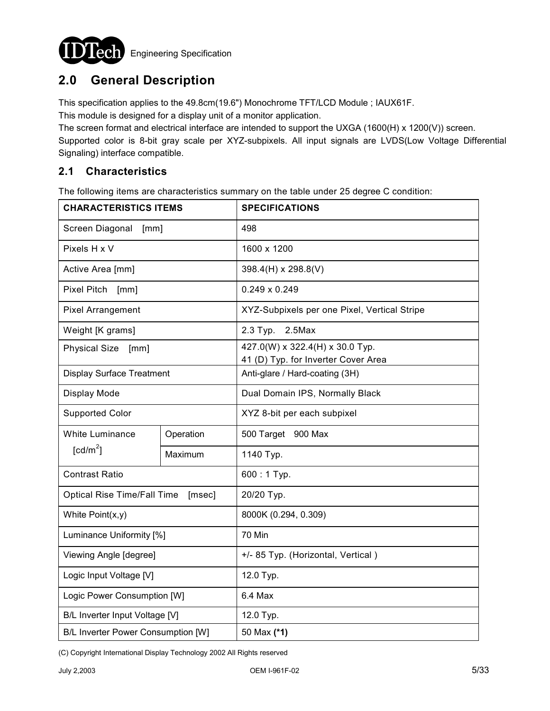

# **2.0 General Description**

This specification applies to the 49.8cm(19.6") Monochrome TFT/LCD Module ; IAUX61F.

This module is designed for a display unit of a monitor application.

The screen format and electrical interface are intended to support the UXGA (1600(H) x 1200(V)) screen.

Supported color is 8-bit gray scale per XYZ-subpixels. All input signals are LVDS(Low Voltage Differential Signaling) interface compatible.

## **2.1 Characteristics**

The following items are characteristics summary on the table under 25 degree C condition:

| <b>CHARACTERISTICS ITEMS</b>       |           | <b>SPECIFICATIONS</b>                                                  |  |  |
|------------------------------------|-----------|------------------------------------------------------------------------|--|--|
| Screen Diagonal<br>[mm]            |           | 498                                                                    |  |  |
| Pixels H x V                       |           | 1600 x 1200                                                            |  |  |
| Active Area [mm]                   |           | 398.4(H) x 298.8(V)                                                    |  |  |
| <b>Pixel Pitch</b><br>[mm]         |           | $0.249 \times 0.249$                                                   |  |  |
| <b>Pixel Arrangement</b>           |           | XYZ-Subpixels per one Pixel, Vertical Stripe                           |  |  |
| Weight [K grams]                   |           | 2.3 Typ.<br>$2.5$ Max                                                  |  |  |
| <b>Physical Size</b><br>[mm]       |           | 427.0(W) x 322.4(H) x 30.0 Typ.<br>41 (D) Typ. for Inverter Cover Area |  |  |
| <b>Display Surface Treatment</b>   |           | Anti-glare / Hard-coating (3H)                                         |  |  |
| Display Mode                       |           | Dual Domain IPS, Normally Black                                        |  |  |
| <b>Supported Color</b>             |           | XYZ 8-bit per each subpixel                                            |  |  |
| <b>White Luminance</b>             | Operation | 500 Target 900 Max                                                     |  |  |
| $\lceil cd/m^2 \rceil$             | Maximum   | 1140 Typ.                                                              |  |  |
| <b>Contrast Ratio</b>              |           | 600:1 Typ.                                                             |  |  |
| <b>Optical Rise Time/Fall Time</b> | [msec]    | 20/20 Typ.                                                             |  |  |
| White Point(x,y)                   |           | 8000K (0.294, 0.309)                                                   |  |  |
| Luminance Uniformity [%]           |           | 70 Min                                                                 |  |  |
| Viewing Angle [degree]             |           | +/- 85 Typ. (Horizontal, Vertical)                                     |  |  |
| Logic Input Voltage [V]            |           | 12.0 Typ.                                                              |  |  |
| Logic Power Consumption [W]        |           | 6.4 Max                                                                |  |  |
| B/L Inverter Input Voltage [V]     |           | 12.0 Typ.                                                              |  |  |
| B/L Inverter Power Consumption [W] |           | 50 Max (*1)                                                            |  |  |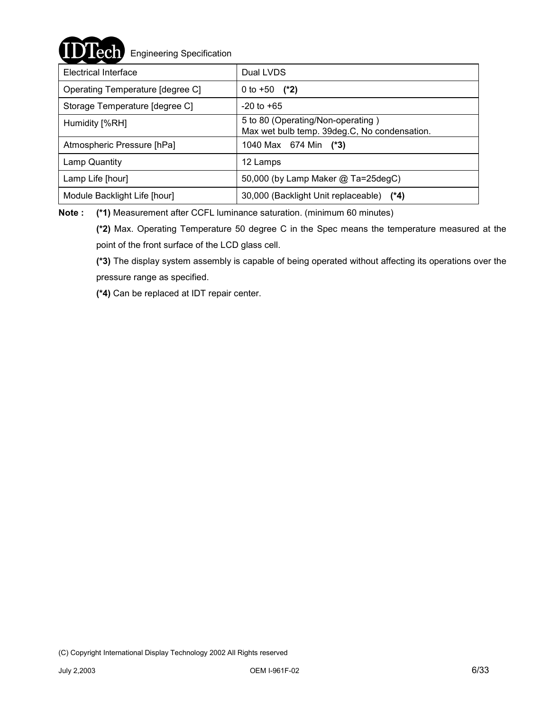## $\text{ech}$  Engineering Specification

| Electrical Interface             | Dual LVDS                                                                         |  |  |  |
|----------------------------------|-----------------------------------------------------------------------------------|--|--|--|
| Operating Temperature [degree C] | 0 to $+50$ (*2)                                                                   |  |  |  |
| Storage Temperature [degree C]   | $-20$ to $+65$                                                                    |  |  |  |
| Humidity [%RH]                   | 5 to 80 (Operating/Non-operating)<br>Max wet bulb temp. 39deg.C, No condensation. |  |  |  |
| Atmospheric Pressure [hPa]       | 1040 Max 674 Min (*3)                                                             |  |  |  |
| Lamp Quantity                    | 12 Lamps                                                                          |  |  |  |
| Lamp Life [hour]                 | 50,000 (by Lamp Maker @ Ta=25degC)                                                |  |  |  |
| Module Backlight Life [hour]     | 30,000 (Backlight Unit replaceable) (*4)                                          |  |  |  |

**Note : (\*1)** Measurement after CCFL luminance saturation. (minimum 60 minutes)

**(\*2)** Max. Operating Temperature 50 degree C in the Spec means the temperature measured at the point of the front surface of the LCD glass cell.

**(\*3)** The display system assembly is capable of being operated without affecting its operations over the pressure range as specified.

**(\*4)** Can be replaced at IDT repair center.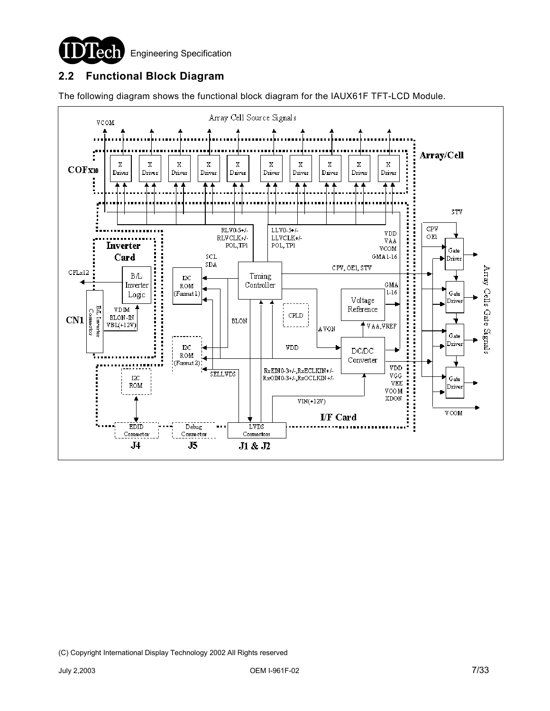

## **2.2 Functional Block Diagram**

The following diagram shows the functional block diagram for the IAUX61F TFT-LCD Module.

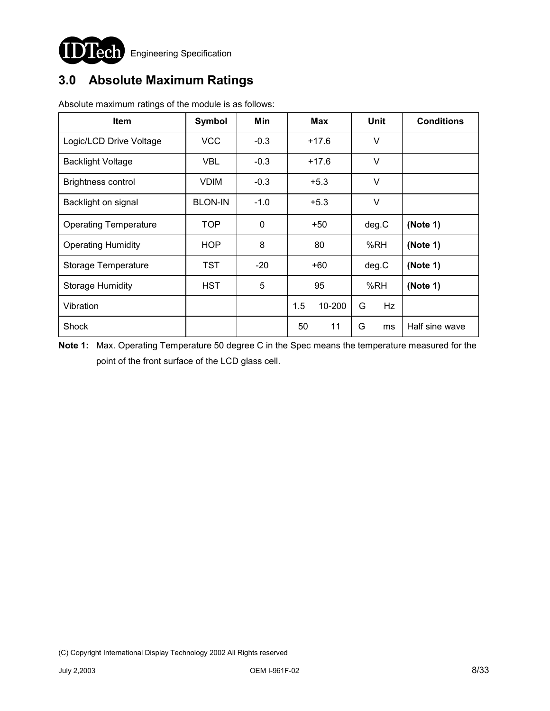

# **3.0 Absolute Maximum Ratings**

| <b>Item</b>                  | Symbol         | Min    | Max           | <b>Unit</b>    | <b>Conditions</b> |
|------------------------------|----------------|--------|---------------|----------------|-------------------|
| Logic/LCD Drive Voltage      | VCC            | $-0.3$ | $+17.6$       | V              |                   |
| <b>Backlight Voltage</b>     | <b>VBL</b>     | $-0.3$ | $+17.6$       | V              |                   |
| <b>Brightness control</b>    | <b>VDIM</b>    | $-0.3$ | $+5.3$        | V              |                   |
| Backlight on signal          | <b>BLON-IN</b> | $-1.0$ | $+5.3$        | V              |                   |
| <b>Operating Temperature</b> | TOP            | 0      | $+50$         | deg.C          | (Note 1)          |
| <b>Operating Humidity</b>    | <b>HOP</b>     | 8      | 80            | %RH            | (Note 1)          |
| Storage Temperature          | TST            | $-20$  | +60           | deg.C          | (Note 1)          |
| <b>Storage Humidity</b>      | <b>HST</b>     | 5      | 95            | %RH            | (Note 1)          |
| Vibration                    |                |        | 10-200<br>1.5 | <b>Hz</b><br>G |                   |
| Shock                        |                |        | 11<br>50      | G<br>ms        | Half sine wave    |

Absolute maximum ratings of the module is as follows:

**Note 1:** Max. Operating Temperature 50 degree C in the Spec means the temperature measured for the point of the front surface of the LCD glass cell.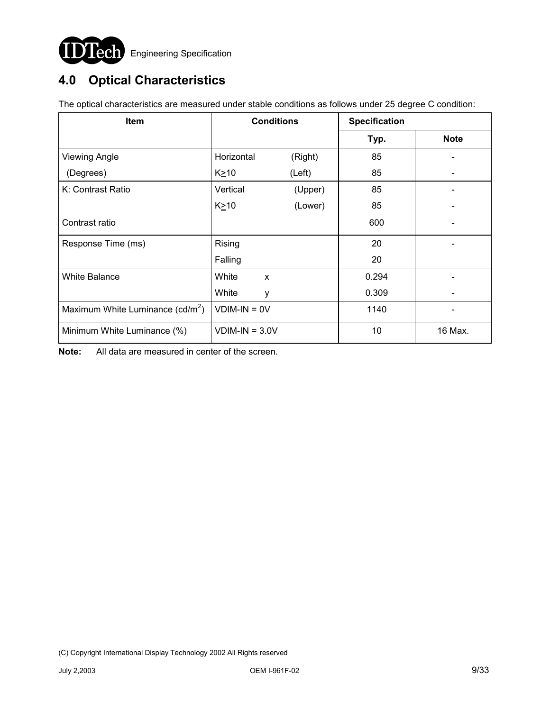

# **4.0 Optical Characteristics**

| <b>Item</b>                                  | <b>Conditions</b> |         | <b>Specification</b> |             |  |
|----------------------------------------------|-------------------|---------|----------------------|-------------|--|
|                                              |                   |         | Typ.                 | <b>Note</b> |  |
| <b>Viewing Angle</b>                         | Horizontal        | (Right) | 85                   |             |  |
| (Degrees)                                    | K≥10              | (Left)  | 85                   |             |  |
| K: Contrast Ratio                            | Vertical          | (Upper) | 85                   |             |  |
|                                              | $K \geq 10$       | (Lower) | 85                   |             |  |
| Contrast ratio                               |                   |         | 600                  |             |  |
| Response Time (ms)                           | Rising            |         | 20                   |             |  |
|                                              | Falling           |         | 20                   |             |  |
| <b>White Balance</b>                         | White             | X       | 0.294                |             |  |
|                                              | White             | у       | 0.309                |             |  |
| Maximum White Luminance (cd/m <sup>2</sup> ) | $VDIM-IN = OV$    |         | 1140                 |             |  |
| Minimum White Luminance (%)                  | $VDIM-IN = 3.0V$  |         | 10                   | 16 Max.     |  |

The optical characteristics are measured under stable conditions as follows under 25 degree C condition:

**Note:** All data are measured in center of the screen.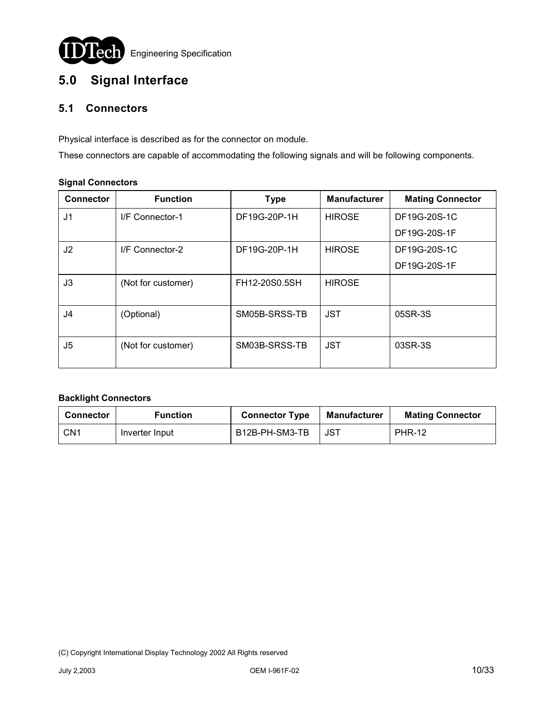

# **5.0 Signal Interface**

## **5.1 Connectors**

Physical interface is described as for the connector on module.

These connectors are capable of accommodating the following signals and will be following components.

#### **Signal Connectors**

| <b>Connector</b> | <b>Function</b>    | <b>Type</b>   | <b>Manufacturer</b> | <b>Mating Connector</b> |
|------------------|--------------------|---------------|---------------------|-------------------------|
| J <sub>1</sub>   | I/F Connector-1    | DF19G-20P-1H  | <b>HIROSE</b>       | DF19G-20S-1C            |
|                  |                    |               |                     | DF19G-20S-1F            |
| J2               | I/F Connector-2    | DF19G-20P-1H  | <b>HIROSE</b>       | DF19G-20S-1C            |
|                  |                    |               |                     | DF19G-20S-1F            |
| J3               | (Not for customer) | FH12-20S0.5SH | <b>HIROSE</b>       |                         |
| J4               | (Optional)         | SM05B-SRSS-TB | <b>JST</b>          | 05SR-3S                 |
| J5               | (Not for customer) | SM03B-SRSS-TB | <b>JST</b>          | 03SR-3S                 |

## **Backlight Connectors**

| <b>Connector</b> | Function       | <b>Connector Type</b> | Manufacturer | <b>Mating Connector</b> |  |
|------------------|----------------|-----------------------|--------------|-------------------------|--|
| CN1              | Inverter Input | B12B-PH-SM3-TB        | JST          | <b>PHR-12</b>           |  |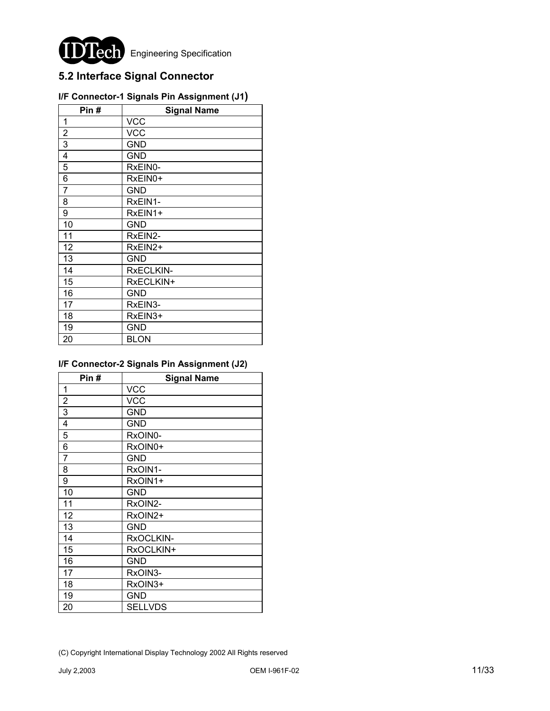

**Engineering Specification** 

## **5.2 Interface Signal Connector**

| Pin#           | <b>Signal Name</b> |
|----------------|--------------------|
| 1              | <b>VCC</b>         |
| $\overline{2}$ | <b>VCC</b>         |
| 3              | GND                |
| $\overline{4}$ | <b>GND</b>         |
| 5              | RxEIN0-            |
| 6              | RxEIN0+            |
| $\overline{7}$ | <b>GND</b>         |
| 8              | RxEIN1-            |
| 9              | RxEIN1+            |
| 10             | GND                |
| 11             | RxEIN2-            |
| 12             | RxEIN2+            |
| 13             | GND                |
| 14             | RxECLKIN-          |
| 15             | RxECLKIN+          |
| 16             | GND                |
| 17             | RxEIN3-            |
| 18             | RxEIN3+            |
| 19             | <b>GND</b>         |
| 20             | <b>BLON</b>        |

## **I/F Connector-1 Signals Pin Assignment (J1)**

## **I/F Connector-2 Signals Pin Assignment (J2)**

| Pin#           | <b>Signal Name</b> |
|----------------|--------------------|
| 1              | <b>VCC</b>         |
| $\overline{2}$ | <b>VCC</b>         |
| 3              | GND                |
| 4              | GND                |
| 5              | RxOIN0-            |
| 6              | RxOIN0+            |
| $\overline{7}$ | GND                |
| 8              | RxOIN1-            |
| 9              | RxOIN1+            |
| 10             | <b>GND</b>         |
| 11             | RxOIN2-            |
| 12             | RxOIN2+            |
| 13             | GND                |
| 14             | RxOCLKIN-          |
| 15             | RxOCLKIN+          |
| 16             | GND                |
| 17             | RxOIN3-            |
| 18             | RxOIN3+            |
| 19             | GND                |
| 20             | <b>SELLVDS</b>     |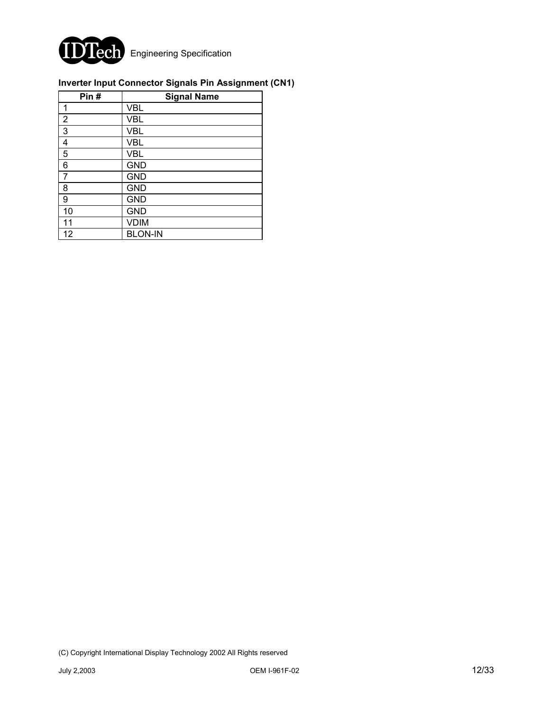

## **Inverter Input Connector Signals Pin Assignment (CN1)**

| Pin#           | <b>Signal Name</b> |
|----------------|--------------------|
| 1              | <b>VBL</b>         |
| $\overline{2}$ | <b>VBL</b>         |
| 3              | <b>VBL</b>         |
| 4              | <b>VBL</b>         |
| 5              | <b>VBL</b>         |
| 6              | <b>GND</b>         |
| 7              | <b>GND</b>         |
| 8              | <b>GND</b>         |
| 9              | <b>GND</b>         |
| 10             | <b>GND</b>         |
| 11             | <b>VDIM</b>        |
| 12             | <b>BLON-IN</b>     |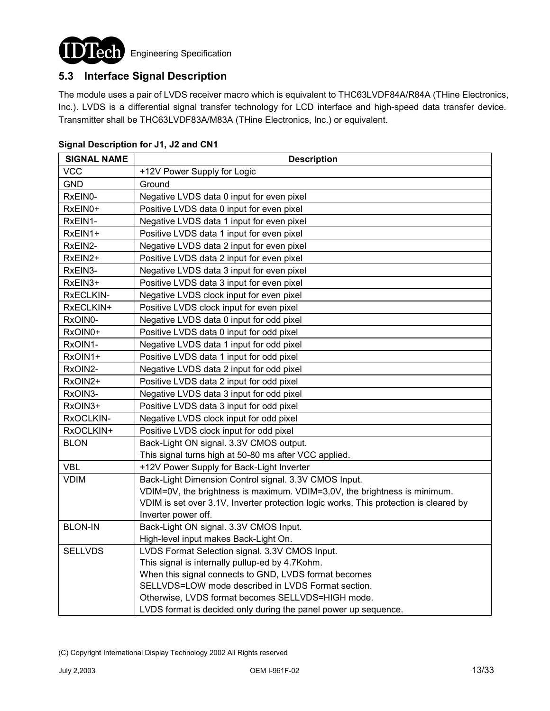

## **5.3 Interface Signal Description**

The module uses a pair of LVDS receiver macro which is equivalent to THC63LVDF84A/R84A (THine Electronics, Inc.). LVDS is a differential signal transfer technology for LCD interface and high-speed data transfer device. Transmitter shall be THC63LVDF83A/M83A (THine Electronics, Inc.) or equivalent.

| <b>SIGNAL NAME</b> | <b>Description</b>                                                                    |
|--------------------|---------------------------------------------------------------------------------------|
| <b>VCC</b>         | +12V Power Supply for Logic                                                           |
| <b>GND</b>         | Ground                                                                                |
| RxEIN0-            | Negative LVDS data 0 input for even pixel                                             |
| RxEIN0+            | Positive LVDS data 0 input for even pixel                                             |
| RxEIN1-            | Negative LVDS data 1 input for even pixel                                             |
| RxEIN1+            | Positive LVDS data 1 input for even pixel                                             |
| RxEIN2-            | Negative LVDS data 2 input for even pixel                                             |
| RxEIN2+            | Positive LVDS data 2 input for even pixel                                             |
| RxEIN3-            | Negative LVDS data 3 input for even pixel                                             |
| RxEIN3+            | Positive LVDS data 3 input for even pixel                                             |
| RxECLKIN-          | Negative LVDS clock input for even pixel                                              |
| RxECLKIN+          | Positive LVDS clock input for even pixel                                              |
| RxOIN0-            | Negative LVDS data 0 input for odd pixel                                              |
| RxOIN0+            | Positive LVDS data 0 input for odd pixel                                              |
| RxOIN1-            | Negative LVDS data 1 input for odd pixel                                              |
| RxOIN1+            | Positive LVDS data 1 input for odd pixel                                              |
| RxOIN2-            | Negative LVDS data 2 input for odd pixel                                              |
| RxOIN2+            | Positive LVDS data 2 input for odd pixel                                              |
| RxOIN3-            | Negative LVDS data 3 input for odd pixel                                              |
| RxOIN3+            | Positive LVDS data 3 input for odd pixel                                              |
| RxOCLKIN-          | Negative LVDS clock input for odd pixel                                               |
| RxOCLKIN+          | Positive LVDS clock input for odd pixel                                               |
| <b>BLON</b>        | Back-Light ON signal. 3.3V CMOS output.                                               |
|                    | This signal turns high at 50-80 ms after VCC applied.                                 |
| <b>VBL</b>         | +12V Power Supply for Back-Light Inverter                                             |
| <b>VDIM</b>        | Back-Light Dimension Control signal. 3.3V CMOS Input.                                 |
|                    | VDIM=0V, the brightness is maximum. VDIM=3.0V, the brightness is minimum.             |
|                    | VDIM is set over 3.1V, Inverter protection logic works. This protection is cleared by |
|                    | Inverter power off.                                                                   |
| <b>BLON-IN</b>     | Back-Light ON signal. 3.3V CMOS Input.                                                |
|                    | High-level input makes Back-Light On.                                                 |
| <b>SELLVDS</b>     | LVDS Format Selection signal. 3.3V CMOS Input.                                        |
|                    | This signal is internally pullup-ed by 4.7Kohm.                                       |
|                    | When this signal connects to GND, LVDS format becomes                                 |
|                    | SELLVDS=LOW mode described in LVDS Format section.                                    |
|                    | Otherwise, LVDS format becomes SELLVDS=HIGH mode.                                     |
|                    | LVDS format is decided only during the panel power up sequence.                       |
|                    |                                                                                       |

#### **Signal Description for J1, J2 and CN1**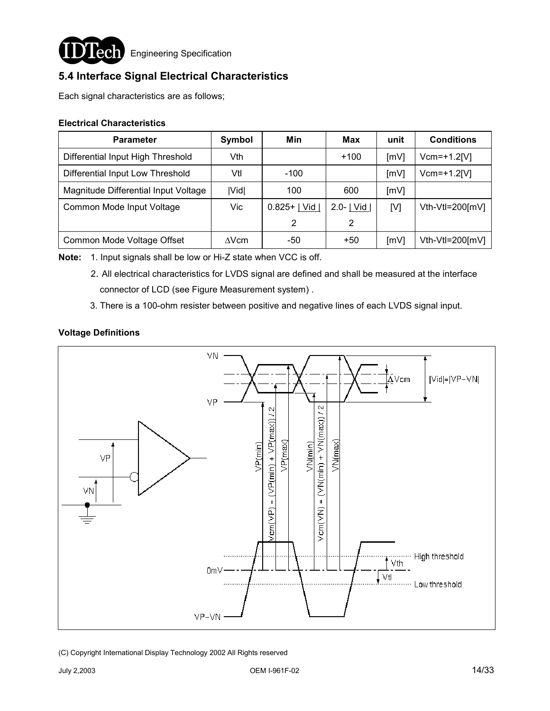

**ICCI** Engineering Specification

## **5.4 Interface Signal Electrical Characteristics**

Each signal characteristics are as follows;

### **Electrical Characteristics**

| <b>Parameter</b>                     | Symbol       | Min            | Max          | unit | <b>Conditions</b> |
|--------------------------------------|--------------|----------------|--------------|------|-------------------|
| Differential Input High Threshold    | Vth          |                | $+100$       | [mV] | $Vcm=+1.2$ [V]    |
| Differential Input Low Threshold     | Vtl          | $-100$         |              | [mV] | $Vcm=+1.2$ [V]    |
| Magnitude Differential Input Voltage | <b>IVidl</b> | 100            | 600          | [mV] |                   |
| Common Mode Input Voltage            | Vic          | $0.825+$   Vid | 2.0- $ $ Vid | [V]  | Vth-Vtl=200[mV]   |
|                                      |              | 2              | 2            |      |                   |
| Common Mode Voltage Offset           | $\Delta$ Vcm | -50            | +50          | [mV] | Vth-Vtl=200[mV]   |

**Note:** 1. Input signals shall be low or Hi-Z state when VCC is off.

- 2. All electrical characteristics for LVDS signal are defined and shall be measured at the interface connector of LCD (see Figure Measurement system) .
- 3. There is a 100-ohm resister between positive and negative lines of each LVDS signal input.

## **Voltage Definitions**

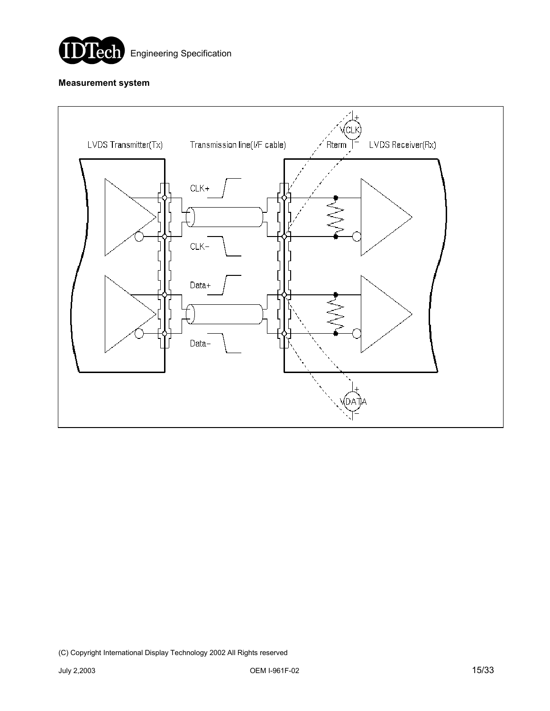

#### **Measurement system**

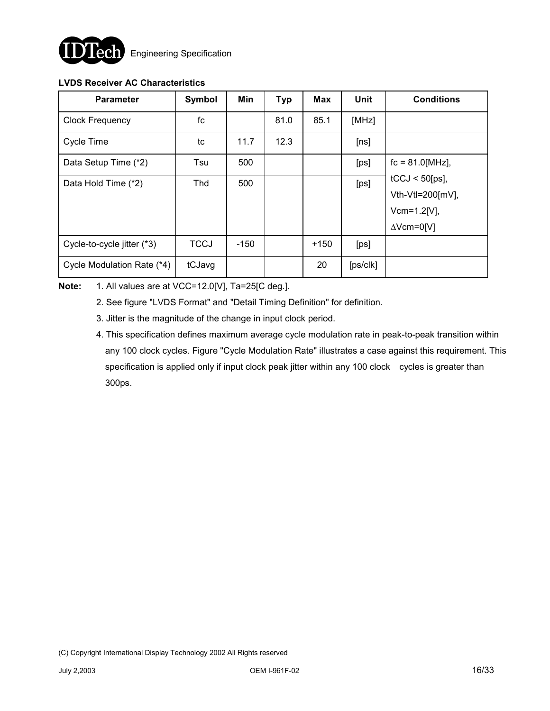

## **LVDS Receiver AC Characteristics**

| <b>Parameter</b>           | Symbol      | Min    | <b>Typ</b> | <b>Max</b> | Unit                 | <b>Conditions</b>    |
|----------------------------|-------------|--------|------------|------------|----------------------|----------------------|
| <b>Clock Frequency</b>     | fc          |        | 81.0       | 85.1       | [MHz]                |                      |
| <b>Cycle Time</b>          | tc          | 11.7   | 12.3       |            | [ns]                 |                      |
| Data Setup Time (*2)       | Tsu         | 500    |            |            | [ps]                 | $fc = 81.0$ [MHz],   |
| Data Hold Time (*2)        | Thd         | 500    |            |            | [ps]                 | $tCCJ < 50$ [ps],    |
|                            |             |        |            |            |                      | Vth-Vtl=200 $[mV]$ , |
|                            |             |        |            |            |                      | $Vcm=1.2[V],$        |
|                            |             |        |            |            |                      | $\Delta$ Vcm=0[V]    |
| Cycle-to-cycle jitter (*3) | <b>TCCJ</b> | $-150$ |            | $+150$     | [ps]                 |                      |
| Cycle Modulation Rate (*4) | tCJavg      |        |            | 20         | [ps/c <sub>k</sub> ] |                      |

## **Note:** 1. All values are at VCC=12.0[V], Ta=25[C deg.].

- 2. See figure "LVDS Format" and "Detail Timing Definition" for definition.
- 3. Jitter is the magnitude of the change in input clock period.
- 4. This specification defines maximum average cycle modulation rate in peak-to-peak transition within any 100 clock cycles. Figure "Cycle Modulation Rate" illustrates a case against this requirement. This specification is applied only if input clock peak jitter within any 100 clock cycles is greater than 300ps.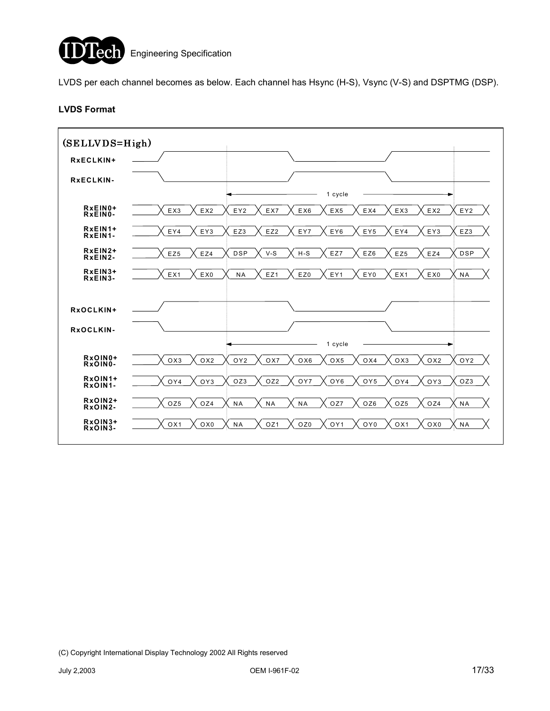

LVDS per each channel becomes as below. Each channel has Hsync (H-S), Vsync (V-S) and DSPTMG (DSP).

#### **LVDS Format**

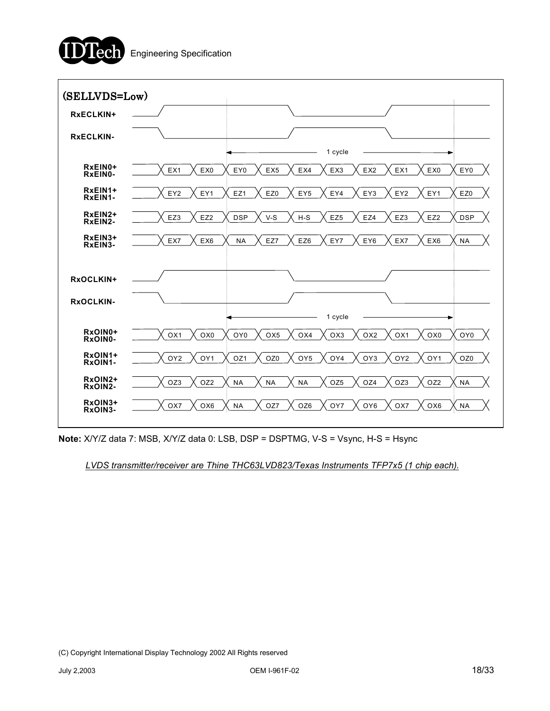



**Note:** X/Y/Z data 7: MSB, X/Y/Z data 0: LSB, DSP = DSPTMG, V-S = Vsync, H-S = Hsync

*LVDS transmitter/receiver are Thine THC63LVD823/Texas Instruments TFP7x5 (1 chip each).*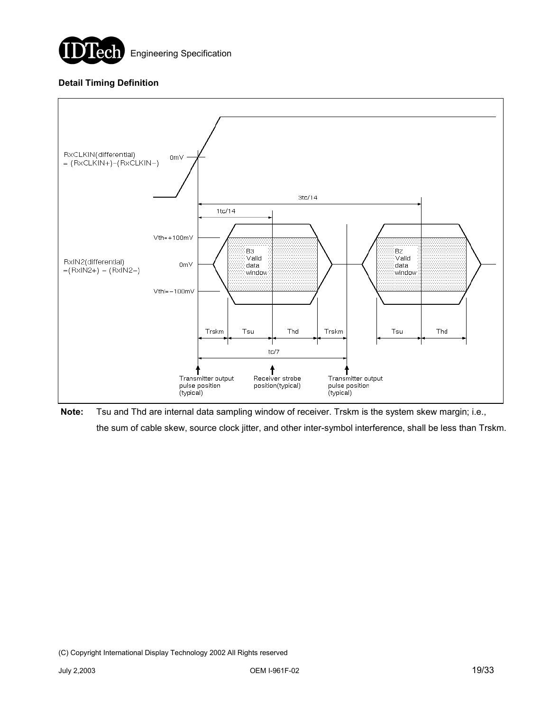

## **Detail Timing Definition**



**Note:** Tsu and Thd are internal data sampling window of receiver. Trskm is the system skew margin; i.e., the sum of cable skew, source clock jitter, and other inter-symbol interference, shall be less than Trskm.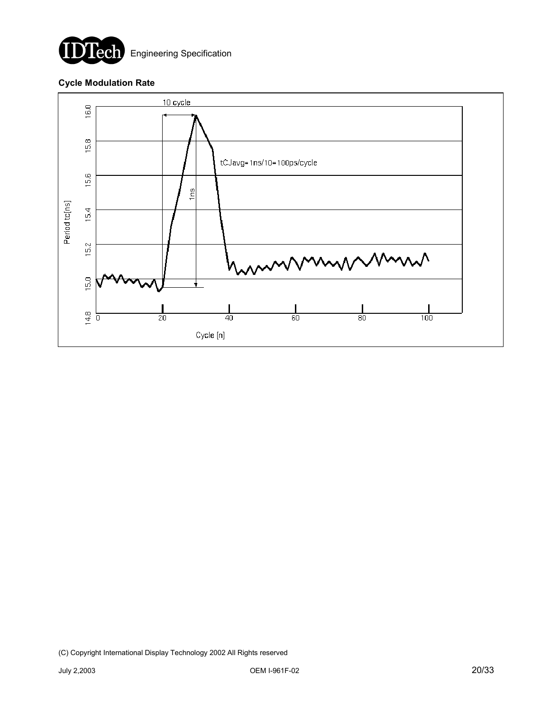

**Lech** Engineering Specification

### **Cycle Modulation Rate**

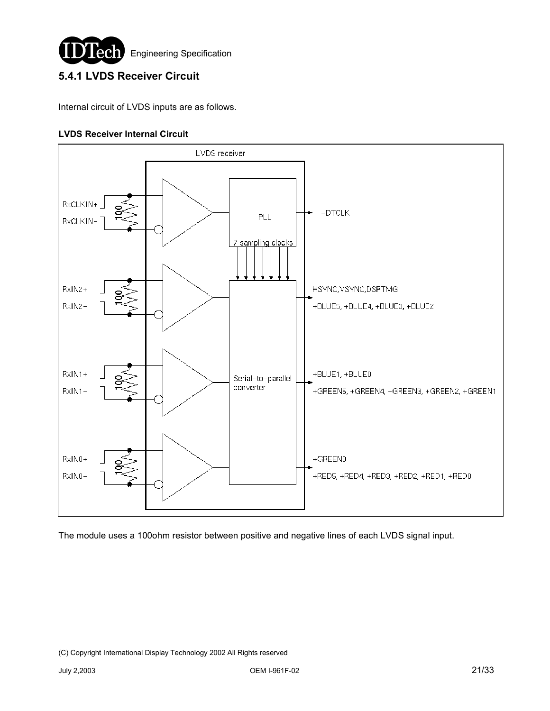

## **5.4.1 LVDS Receiver Circuit**

Internal circuit of LVDS inputs are as follows.

### **LVDS Receiver Internal Circuit**



The module uses a 100ohm resistor between positive and negative lines of each LVDS signal input.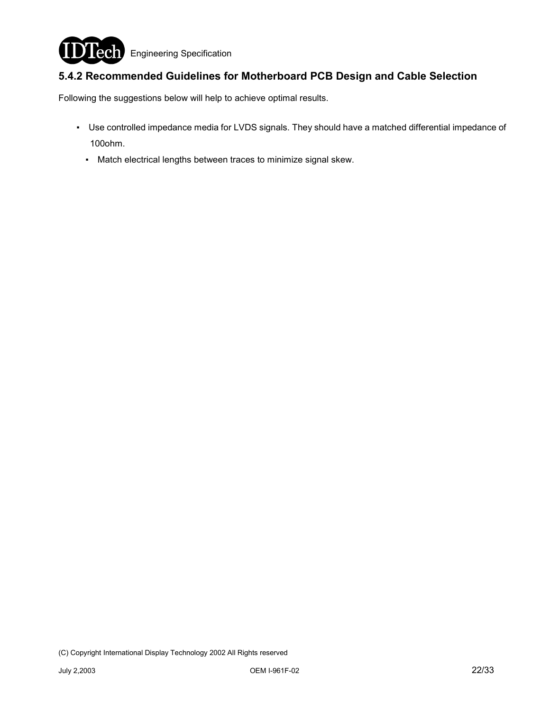

## **5.4.2 Recommended Guidelines for Motherboard PCB Design and Cable Selection**

Following the suggestions below will help to achieve optimal results.

- ƒ Use controlled impedance media for LVDS signals. They should have a matched differential impedance of 100ohm.
	- Match electrical lengths between traces to minimize signal skew.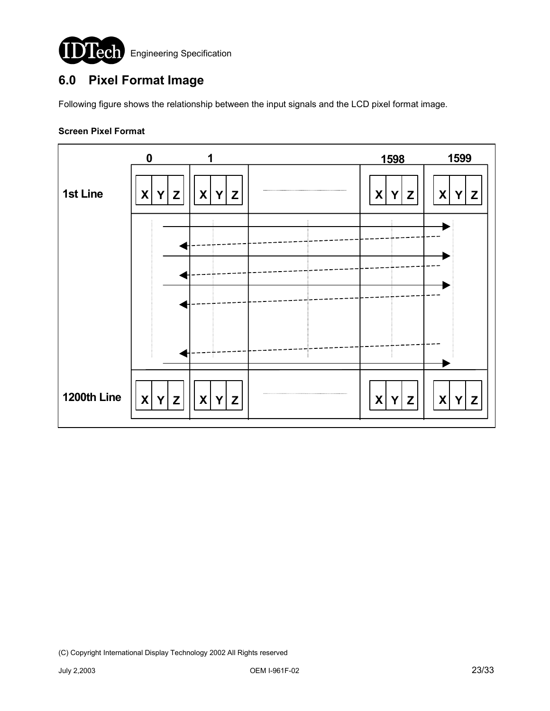

# **6.0 Pixel Format Image**

Following figure shows the relationship between the input signals and the LCD pixel format image.

#### **Screen Pixel Format**

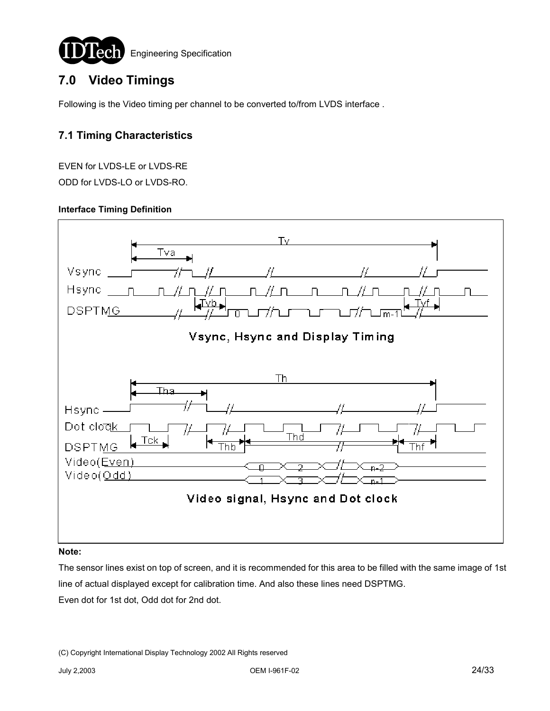

# **7.0 Video Timings**

Following is the Video timing per channel to be converted to/from LVDS interface .

## **7.1 Timing Characteristics**

EVEN for LVDS-LE or LVDS-RE ODD for LVDS-LO or LVDS-RO.

#### **Interface Timing Definition**



#### **Note:**

The sensor lines exist on top of screen, and it is recommended for this area to be filled with the same image of 1st line of actual displayed except for calibration time. And also these lines need DSPTMG. Even dot for 1st dot, Odd dot for 2nd dot.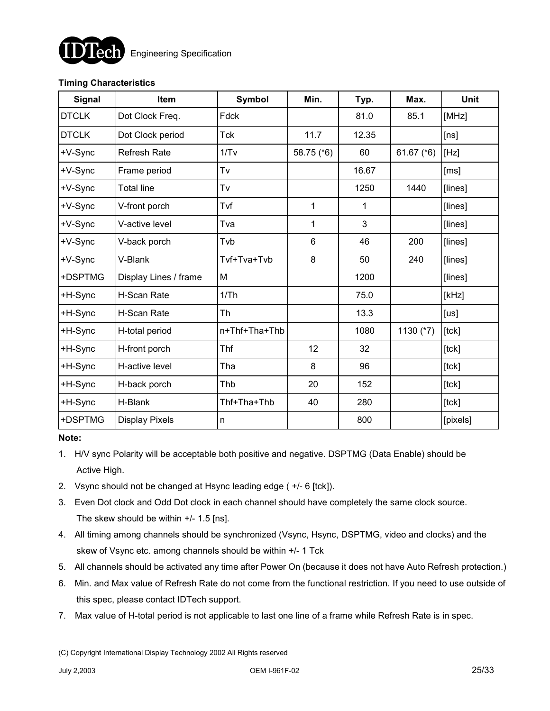

## **Timing Characteristics**

| <b>Signal</b> | Item                  | <b>Symbol</b> | Min.       | Typ.  | Max.         | Unit     |
|---------------|-----------------------|---------------|------------|-------|--------------|----------|
| <b>DTCLK</b>  | Dot Clock Freq.       | Fdck          |            | 81.0  | 85.1         | [MHz]    |
| <b>DTCLK</b>  | Dot Clock period      | <b>Tck</b>    | 11.7       | 12.35 |              | [ns]     |
| +V-Sync       | <b>Refresh Rate</b>   | 1/Tv          | 58.75 (*6) | 60    | 61.67 $(*6)$ | [Hz]     |
| +V-Sync       | Frame period          | Tv            |            | 16.67 |              | [ms]     |
| +V-Sync       | <b>Total line</b>     | Tv            |            | 1250  | 1440         | [lines]  |
| +V-Sync       | V-front porch         | Tvf           | 1          | 1     |              | [lines]  |
| +V-Sync       | V-active level        | Tva           | 1          | 3     |              | [lines]  |
| +V-Sync       | V-back porch          | Tvb           | 6          | 46    | 200          | [lines]  |
| +V-Sync       | V-Blank               | Tvf+Tva+Tvb   | 8          | 50    | 240          | [lines]  |
| +DSPTMG       | Display Lines / frame | M             |            | 1200  |              | [lines]  |
| +H-Sync       | H-Scan Rate           | 1/Th          |            | 75.0  |              | [kHz]    |
| +H-Sync       | H-Scan Rate           | Th            |            | 13.3  |              | [us]     |
| +H-Sync       | H-total period        | n+Thf+Tha+Thb |            | 1080  | 1130 (*7)    | [lck]    |
| +H-Sync       | H-front porch         | Thf           | 12         | 32    |              | [lck]    |
| +H-Sync       | H-active level        | Tha           | 8          | 96    |              | [tck]    |
| +H-Sync       | H-back porch          | Thb           | 20         | 152   |              | [lck]    |
| +H-Sync       | H-Blank               | Thf+Tha+Thb   | 40         | 280   |              | [lck]    |
| +DSPTMG       | <b>Display Pixels</b> | n             |            | 800   |              | [pixels] |

#### **Note:**

- 1. H/V sync Polarity will be acceptable both positive and negative. DSPTMG (Data Enable) should be Active High.
- 2. Vsync should not be changed at Hsync leading edge ( +/- 6 [tck]).
- 3. Even Dot clock and Odd Dot clock in each channel should have completely the same clock source. The skew should be within +/- 1.5 [ns].
- 4. All timing among channels should be synchronized (Vsync, Hsync, DSPTMG, video and clocks) and the skew of Vsync etc. among channels should be within +/- 1 Tck
- 5. All channels should be activated any time after Power On (because it does not have Auto Refresh protection.)
- 6. Min. and Max value of Refresh Rate do not come from the functional restriction. If you need to use outside of this spec, please contact IDTech support.
- 7. Max value of H-total period is not applicable to last one line of a frame while Refresh Rate is in spec.

<sup>(</sup>C) Copyright International Display Technology 2002 All Rights reserved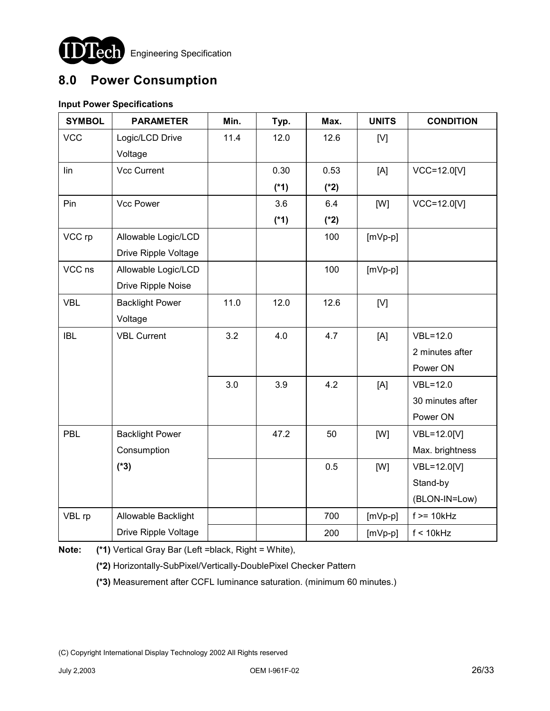

**JLCCI** Engineering Specification

# **8.0 Power Consumption**

## **Input Power Specifications**

| <b>SYMBOL</b> | <b>PARAMETER</b>       | Min. | Typ.   | Max.   | <b>UNITS</b> | <b>CONDITION</b> |
|---------------|------------------------|------|--------|--------|--------------|------------------|
| <b>VCC</b>    | Logic/LCD Drive        | 11.4 | 12.0   | 12.6   | [V]          |                  |
|               | Voltage                |      |        |        |              |                  |
| lin           | <b>Vcc Current</b>     |      | 0.30   | 0.53   | [A]          | VCC=12.0[V]      |
|               |                        |      | $(*1)$ | $(*2)$ |              |                  |
| Pin           | Vcc Power              |      | 3.6    | 6.4    | [W]          | VCC=12.0[V]      |
|               |                        |      | $(*1)$ | $(*2)$ |              |                  |
| VCC rp        | Allowable Logic/LCD    |      |        | 100    | $[mVp-p]$    |                  |
|               | Drive Ripple Voltage   |      |        |        |              |                  |
| VCC ns        | Allowable Logic/LCD    |      |        | 100    | $[mVp-p]$    |                  |
|               | Drive Ripple Noise     |      |        |        |              |                  |
| <b>VBL</b>    | <b>Backlight Power</b> | 11.0 | 12.0   | 12.6   | [V]          |                  |
|               | Voltage                |      |        |        |              |                  |
| <b>IBL</b>    | <b>VBL Current</b>     | 3.2  | 4.0    | 4.7    | [A]          | $VBL = 12.0$     |
|               |                        |      |        |        |              | 2 minutes after  |
|               |                        |      |        |        |              | Power ON         |
|               |                        | 3.0  | 3.9    | 4.2    | [A]          | $VBL=12.0$       |
|               |                        |      |        |        |              | 30 minutes after |
|               |                        |      |        |        |              | Power ON         |
| PBL           | <b>Backlight Power</b> |      | 47.2   | 50     | [W]          | VBL=12.0[V]      |
|               | Consumption            |      |        |        |              | Max. brightness  |
|               | $(*3)$                 |      |        | 0.5    | [W]          | VBL=12.0[V]      |
|               |                        |      |        |        |              | Stand-by         |
|               |                        |      |        |        |              | (BLON-IN=Low)    |
| VBL rp        | Allowable Backlight    |      |        | 700    | $[mVp-p]$    | $f \geq 10kHz$   |
|               | Drive Ripple Voltage   |      |        | 200    | $[mVp-p]$    | $f < 10$ kHz     |

**Note: (\*1)** Vertical Gray Bar (Left =black, Right = White),

**(\*2)** Horizontally-SubPixel/Vertically-DoublePixel Checker Pattern

**(\*3)** Measurement after CCFL Iuminance saturation. (minimum 60 minutes.)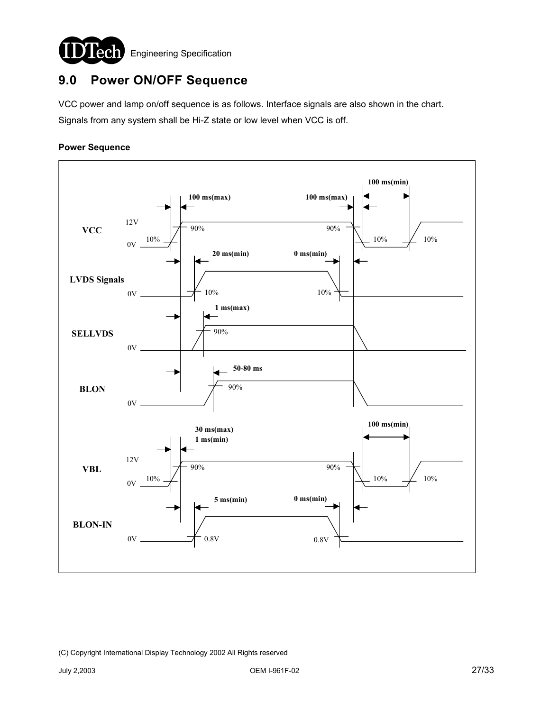

# **9.0 Power ON/OFF Sequence**

VCC power and lamp on/off sequence is as follows. Interface signals are also shown in the chart. Signals from any system shall be Hi-Z state or low level when VCC is off.

### **Power Sequence**

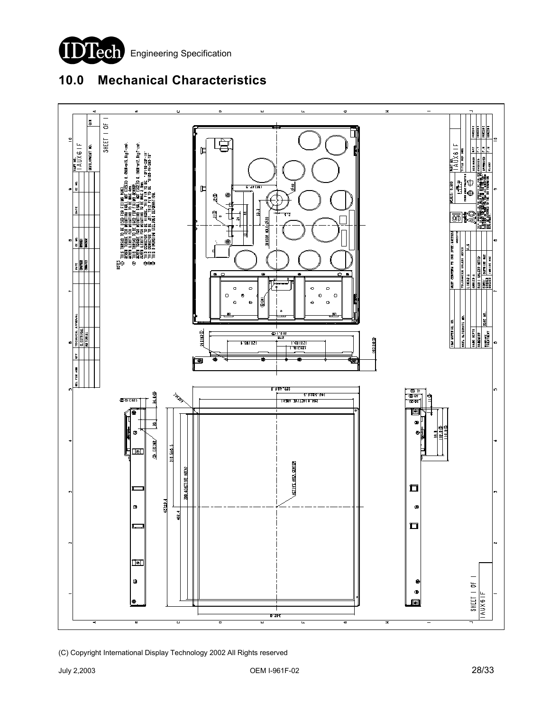

# **10.0 Mechanical Characteristics**

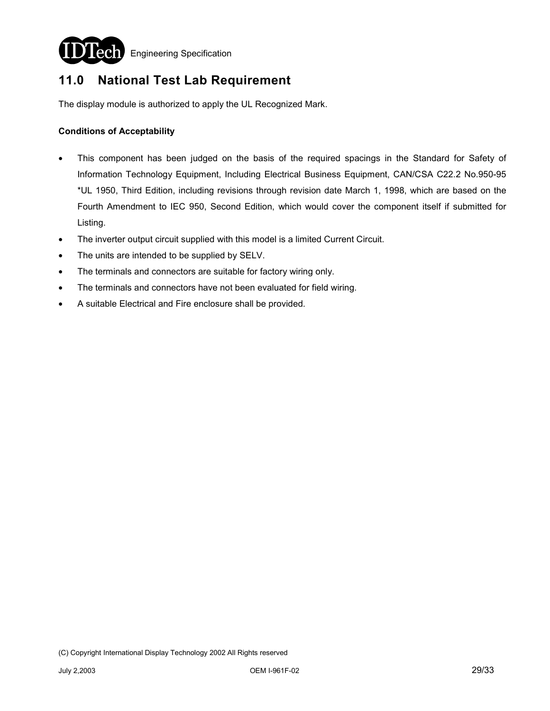

**Lech** Engineering Specification

# **11.0 National Test Lab Requirement**

The display module is authorized to apply the UL Recognized Mark.

#### **Conditions of Acceptability**

- This component has been judged on the basis of the required spacings in the Standard for Safety of Information Technology Equipment, Including Electrical Business Equipment, CAN/CSA C22.2 No.950-95 \*UL 1950, Third Edition, including revisions through revision date March 1, 1998, which are based on the Fourth Amendment to IEC 950, Second Edition, which would cover the component itself if submitted for Listing.
- The inverter output circuit supplied with this model is a limited Current Circuit.
- The units are intended to be supplied by SELV.
- The terminals and connectors are suitable for factory wiring only.
- The terminals and connectors have not been evaluated for field wiring.
- A suitable Electrical and Fire enclosure shall be provided.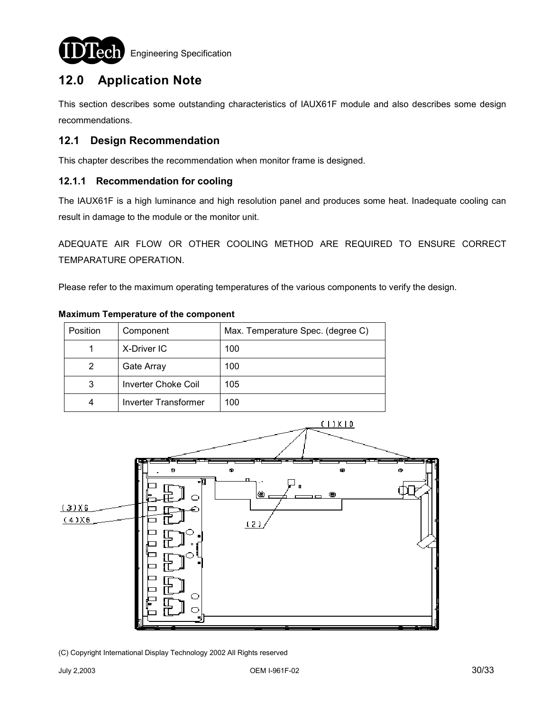

Engineering Specification

# **12.0 Application Note**

This section describes some outstanding characteristics of IAUX61F module and also describes some design recommendations.

## **12.1 Design Recommendation**

This chapter describes the recommendation when monitor frame is designed.

## **12.1.1 Recommendation for cooling**

The IAUX61F is a high luminance and high resolution panel and produces some heat. Inadequate cooling can result in damage to the module or the monitor unit.

ADEQUATE AIR FLOW OR OTHER COOLING METHOD ARE REQUIRED TO ENSURE CORRECT TEMPARATURE OPERATION.

Please refer to the maximum operating temperatures of the various components to verify the design.

|  | <b>Maximum Temperature of the component</b> |  |  |
|--|---------------------------------------------|--|--|
|--|---------------------------------------------|--|--|

| Position | Component                  | Max. Temperature Spec. (degree C) |
|----------|----------------------------|-----------------------------------|
|          | X-Driver IC                | 100                               |
| 2        | Gate Array                 | 100                               |
| 3        | <b>Inverter Choke Coil</b> | 105                               |
| 4        | Inverter Transformer       | 100                               |

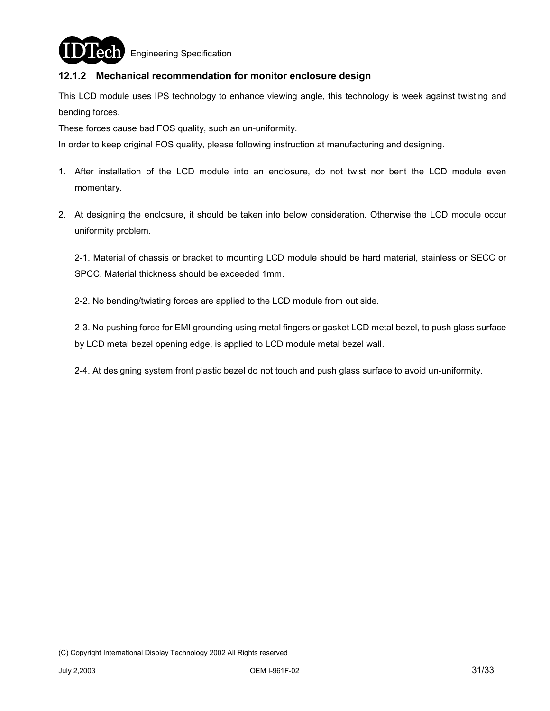

**ech** Engineering Specification

## **12.1.2 Mechanical recommendation for monitor enclosure design**

This LCD module uses IPS technology to enhance viewing angle, this technology is week against twisting and bending forces.

These forces cause bad FOS quality, such an un-uniformity.

In order to keep original FOS quality, please following instruction at manufacturing and designing.

- 1. After installation of the LCD module into an enclosure, do not twist nor bent the LCD module even momentary.
- 2. At designing the enclosure, it should be taken into below consideration. Otherwise the LCD module occur uniformity problem.

2-1. Material of chassis or bracket to mounting LCD module should be hard material, stainless or SECC or SPCC. Material thickness should be exceeded 1mm.

2-2. No bending/twisting forces are applied to the LCD module from out side.

2-3. No pushing force for EMI grounding using metal fingers or gasket LCD metal bezel, to push glass surface by LCD metal bezel opening edge, is applied to LCD module metal bezel wall.

2-4. At designing system front plastic bezel do not touch and push glass surface to avoid un-uniformity.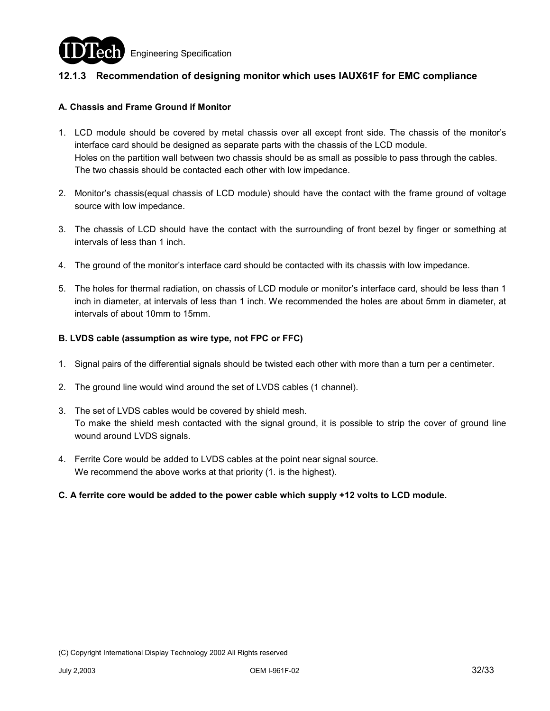

## **12.1.3 Recommendation of designing monitor which uses IAUX61F for EMC compliance**

#### **A. Chassis and Frame Ground if Monitor**

- 1. LCD module should be covered by metal chassis over all except front side. The chassis of the monitor's interface card should be designed as separate parts with the chassis of the LCD module. Holes on the partition wall between two chassis should be as small as possible to pass through the cables. The two chassis should be contacted each other with low impedance.
- 2. Monitor's chassis(equal chassis of LCD module) should have the contact with the frame ground of voltage source with low impedance.
- 3. The chassis of LCD should have the contact with the surrounding of front bezel by finger or something at intervals of less than 1 inch.
- 4. The ground of the monitor's interface card should be contacted with its chassis with low impedance.
- 5. The holes for thermal radiation, on chassis of LCD module or monitor's interface card, should be less than 1 inch in diameter, at intervals of less than 1 inch. We recommended the holes are about 5mm in diameter, at intervals of about 10mm to 15mm.

#### **B. LVDS cable (assumption as wire type, not FPC or FFC)**

- 1. Signal pairs of the differential signals should be twisted each other with more than a turn per a centimeter.
- 2. The ground line would wind around the set of LVDS cables (1 channel).
- 3. The set of LVDS cables would be covered by shield mesh. To make the shield mesh contacted with the signal ground, it is possible to strip the cover of ground line wound around LVDS signals.
- 4. Ferrite Core would be added to LVDS cables at the point near signal source. We recommend the above works at that priority (1. is the highest).
- **C. A ferrite core would be added to the power cable which supply +12 volts to LCD module.**